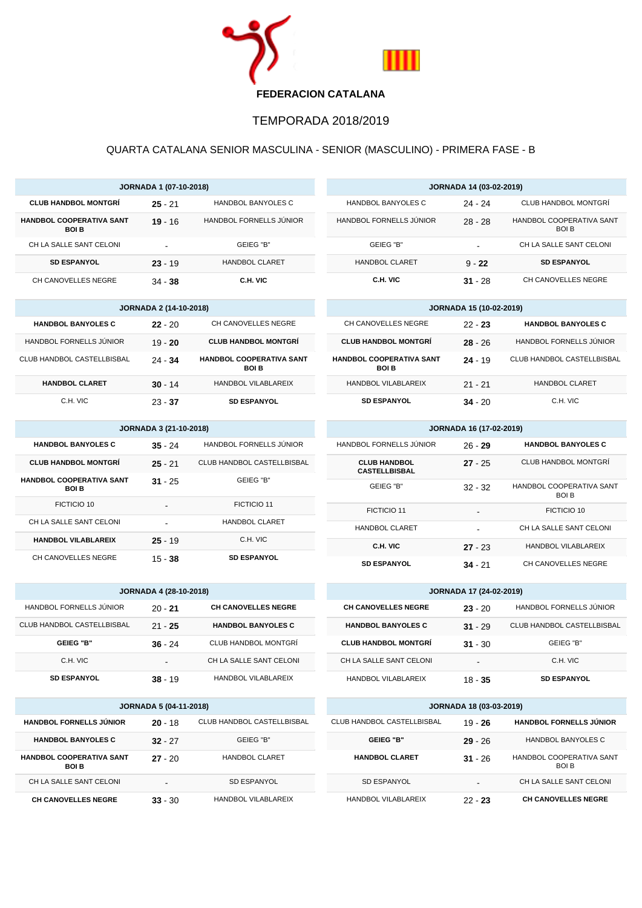

## TEMPORADA 2018/2019

## QUARTA CATALANA SENIOR MASCULINA - SENIOR (MASCULINO) - PRIMERA FASE - B

| <b>JORNADA 1 (07-10-2018)</b>                  |           |                         |  |
|------------------------------------------------|-----------|-------------------------|--|
| <b>CLUB HANDBOL MONTGRÍ</b>                    | $25 - 21$ | HANDBOL BANYOLES C      |  |
| <b>HANDBOL COOPERATIVA SANT</b><br><b>BOIB</b> | $19 - 16$ | HANDBOL FORNELLS JUNIOR |  |
| CH LA SALLE SANT CELONI                        |           | GEIEG "B"               |  |
| <b>SD ESPANYOL</b>                             | $23 - 19$ | <b>HANDBOL CLARET</b>   |  |
| CH CANOVELLES NEGRE                            | $34 - 38$ | C.H. VIC                |  |

| <b>JORNADA 2 (14-10-2018)</b> |           |                                                |  |
|-------------------------------|-----------|------------------------------------------------|--|
| <b>HANDBOL BANYOLES C</b>     | $22 - 20$ | CH CANOVELLES NEGRE                            |  |
| HANDBOL FORNELLS JUNIOR       | $19 - 20$ | <b>CLUB HANDBOL MONTGRÍ</b>                    |  |
| CLUB HANDBOL CASTELLBISBAL    | $24 - 34$ | <b>HANDBOL COOPERATIVA SANT</b><br><b>BOIB</b> |  |
| <b>HANDBOL CLARET</b>         | $30 - 14$ | HANDBOL VILABLAREIX                            |  |
| C.H. VIC                      | $23 - 37$ | <b>SD ESPANYOL</b>                             |  |

| <b>JORNADA 3 (21-10-2018)</b>                  |           |                            |
|------------------------------------------------|-----------|----------------------------|
| <b>HANDBOL BANYOLES C</b>                      | $35 - 24$ | HANDBOL FORNELLS JUNIOR    |
| <b>CLUB HANDBOL MONTGRÍ</b>                    | $25 - 21$ | CLUB HANDBOL CASTELLBISBAL |
| <b>HANDBOL COOPERATIVA SANT</b><br><b>BOIB</b> | $31 - 25$ | GEIEG "B"                  |
| FICTICIO 10                                    |           | FICTICIO 11                |
| CH LA SALLE SANT CELONI                        |           | <b>HANDBOL CLARET</b>      |
| <b>HANDBOL VILABLAREIX</b>                     | $25 - 19$ | C.H. VIC                   |
| CH CANOVELLES NEGRE                            | 15 - 38   | <b>SD ESPANYOL</b>         |

| <b>JORNADA 4 (28-10-2018)</b> |           |                            |
|-------------------------------|-----------|----------------------------|
| HANDBOL FORNELLS JUNIOR       | $20 - 21$ | <b>CH CANOVELLES NEGRE</b> |
| CLUB HANDBOL CASTELLBISBAL    | $21 - 25$ | <b>HANDBOL BANYOLES C</b>  |
| <b>GEIEG "B"</b>              | $36 - 24$ | CLUB HANDBOL MONTGRÍ       |
| C.H. VIC                      |           | CH LA SALLE SANT CELONI    |
| <b>SD ESPANYOL</b>            | $38 - 19$ | HANDBOL VILABLAREIX        |

| <b>JORNADA 5 (04-11-2018)</b>                  |           |                            |
|------------------------------------------------|-----------|----------------------------|
| <b>HANDBOL FORNELLS JÚNIOR</b>                 | $20 - 18$ | CLUB HANDBOL CASTELLBISBAL |
| <b>HANDBOL BANYOLES C</b>                      | $32 - 27$ | GEIEG "B"                  |
| <b>HANDBOL COOPERATIVA SANT</b><br><b>BOIB</b> | $27 - 20$ | <b>HANDBOL CLARET</b>      |
| CH LA SALLE SANT CELONI                        | -         | <b>SD ESPANYOL</b>         |
| <b>CH CANOVELLES NEGRE</b>                     | $33 - 30$ | HANDROL VILARI AREIX       |

| <b>JORNADA 14 (03-02-2019)</b> |           |                                          |  |
|--------------------------------|-----------|------------------------------------------|--|
| HANDBOL BANYOLES C             | 24 - 24   | CLUB HANDBOL MONTGRÍ                     |  |
| HANDBOL FORNELLS JUNIOR        | $28 - 28$ | HANDBOL COOPERATIVA SANT<br><b>BOI B</b> |  |
| GEIEG "B"                      | -         | CH LA SALLE SANT CELONI                  |  |
| <b>HANDBOL CLARET</b>          | $9 - 22$  | <b>SD ESPANYOL</b>                       |  |
| C.H. VIC                       | $31 - 28$ | CH CANOVELLES NEGRE                      |  |

| <b>JORNADA 15 (10-02-2019)</b>                 |           |                            |
|------------------------------------------------|-----------|----------------------------|
| CH CANOVELLES NEGRE                            | $22 - 23$ | <b>HANDBOL BANYOLES C</b>  |
| <b>CLUB HANDBOL MONTGRÍ</b>                    | $28 - 26$ | HANDBOL FORNELLS JUNIOR    |
| <b>HANDBOL COOPERATIVA SANT</b><br><b>BOIB</b> | $24 - 19$ | CLUB HANDBOL CASTELLBISBAL |
| HANDBOL VILABLAREIX                            | $21 - 21$ | <b>HANDBOL CLARET</b>      |
| <b>SD ESPANYOL</b>                             | $34 - 20$ | C.H. VIC                   |

| <b>JORNADA 16 (17-02-2019)</b>              |           |                                   |  |
|---------------------------------------------|-----------|-----------------------------------|--|
| HANDBOL FORNELLS JUNIOR                     | $26 - 29$ | <b>HANDBOL BANYOLES C</b>         |  |
| <b>CLUB HANDBOL</b><br><b>CASTELLBISBAL</b> | $27 - 25$ | CLUB HANDBOL MONTGRÍ              |  |
| GEIEG "B"                                   | $32 - 32$ | HANDBOL COOPERATIVA SANT<br>BOI B |  |
| FICTICIO 11                                 |           | FICTICIO 10                       |  |
| <b>HANDBOL CLARET</b>                       |           | CH LA SALLE SANT CELONI           |  |
| C.H. VIC                                    | $27 - 23$ | HANDBOL VILABLAREIX               |  |
| <b>SD ESPANYOL</b>                          | $34 - 21$ | CH CANOVELLES NEGRE               |  |

| <b>JORNADA 17 (24-02-2019)</b> |           |                            |  |
|--------------------------------|-----------|----------------------------|--|
| <b>CH CANOVELLES NEGRE</b>     | $23 - 20$ | HANDBOL FORNELLS JUNIOR    |  |
| <b>HANDBOL BANYOLES C</b>      | $31 - 29$ | CLUB HANDBOL CASTELLBISBAL |  |
| <b>CLUB HANDBOL MONTGRÍ</b>    | $31 - 30$ | GEIEG "B"                  |  |
| CH LA SALLE SANT CELONI        |           | C.H. VIC                   |  |
| HANDROL VILABLAREIX            | $18 - 35$ | <b>SD ESPANYOL</b>         |  |

| <b>JORNADA 18 (03-03-2019)</b> |           |                                         |  |
|--------------------------------|-----------|-----------------------------------------|--|
| CLUB HANDBOL CASTELLBISBAL     | $19 - 26$ | <b>HANDBOL FORNELLS JÚNIOR</b>          |  |
| <b>GEIEG "B"</b>               | $29 - 26$ | HANDBOL BANYOLES C                      |  |
| <b>HANDBOL CLARET</b>          | $31 - 26$ | HANDBOL COOPERATIVA SANT<br><b>BOLB</b> |  |
| SD ESPANYOL                    | -         | CH LA SALLE SANT CELONI                 |  |
| HANDBOL VILABLAREIX            | $22 - 23$ | <b>CH CANOVELLES NEGRE</b>              |  |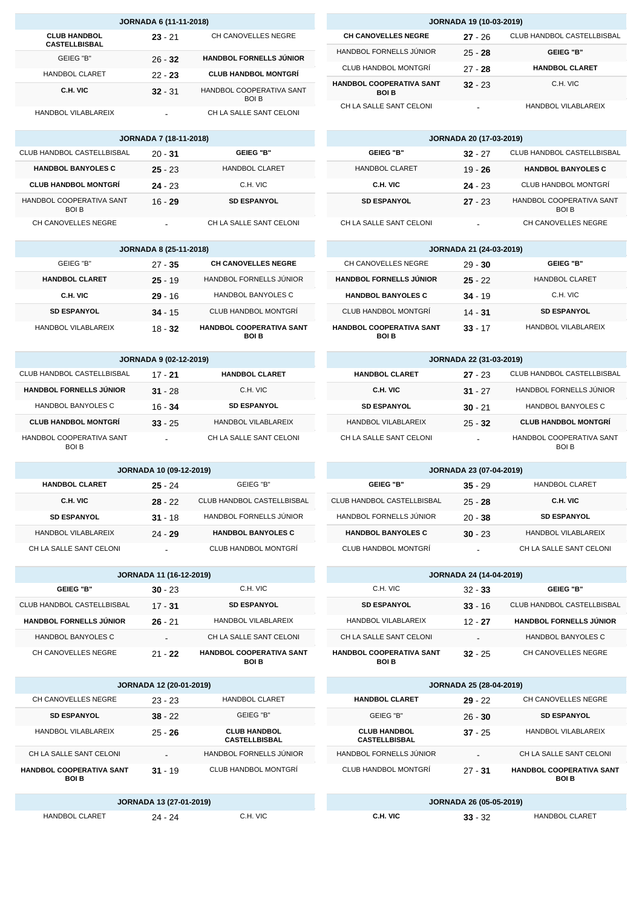| <b>JORNADA 6 (11-11-2018)</b>               |           |                                         |  |
|---------------------------------------------|-----------|-----------------------------------------|--|
| <b>CLUB HANDBOL</b><br><b>CASTELLBISBAL</b> | $23 - 21$ | CH CANOVELLES NEGRE                     |  |
| GEIEG "B"                                   | $26 - 32$ | <b>HANDBOL FORNELLS JUNIOR</b>          |  |
| <b>HANDBOL CLARET</b>                       | $22 - 23$ | <b>CLUB HANDBOL MONTGRÍ</b>             |  |
| C.H. VIC                                    | $32 - 31$ | HANDBOL COOPERATIVA SANT<br><b>BOIB</b> |  |
| HANDBOL VILABLAREIX                         |           | CH LA SALLE SANT CELONI                 |  |

| <b>JORNADA 7 (18-11-2018)</b>           |           |                         |  |
|-----------------------------------------|-----------|-------------------------|--|
| CLUB HANDBOL CASTELLBISBAL              | $20 - 31$ | <b>GEIEG "B"</b>        |  |
| <b>HANDBOL BANYOLES C</b>               | $25 - 23$ | <b>HANDBOL CLARET</b>   |  |
| <b>CLUB HANDBOL MONTGRÍ</b>             | $24 - 23$ | C.H. VIC                |  |
| HANDBOL COOPERATIVA SANT<br><b>BOLB</b> | 16 - 29   | <b>SD ESPANYOL</b>      |  |
| CH CANOVELLES NEGRE                     |           | CH LA SALLE SANT CELONI |  |

| <b>JORNADA 8 (25-11-2018)</b> |           |                                                |  |
|-------------------------------|-----------|------------------------------------------------|--|
| GEIEG "B"                     | $27 - 35$ | <b>CH CANOVELLES NEGRE</b>                     |  |
| <b>HANDBOL CLARET</b>         | $25 - 19$ | HANDBOL FORNELLS JUNIOR                        |  |
| C.H. VIC                      | $29 - 16$ | HANDBOL BANYOLES C                             |  |
| <b>SD ESPANYOL</b>            | $34 - 15$ | CLUB HANDBOL MONTGRÍ                           |  |
| HANDBOL VILABLAREIX           | $18 - 32$ | <b>HANDBOL COOPERATIVA SANT</b><br><b>BOIB</b> |  |

| <b>JORNADA 9 (02-12-2019)</b>           |           |                         |  |
|-----------------------------------------|-----------|-------------------------|--|
| CLUB HANDBOL CASTELLBISBAL              | $17 - 21$ | <b>HANDBOL CLARET</b>   |  |
| <b>HANDBOL FORNELLS JÚNIOR</b>          | $31 - 28$ | C.H. VIC                |  |
| <b>HANDBOL BANYOLES C</b>               | $16 - 34$ | <b>SD ESPANYOL</b>      |  |
| <b>CLUB HANDBOL MONTGRÍ</b>             | $33 - 25$ | HANDBOL VILABLAREIX     |  |
| HANDBOL COOPERATIVA SANT<br><b>BOIB</b> |           | CH LA SALLE SANT CELONI |  |

| <b>JORNADA 10 (09-12-2019)</b> |           |                            |  |
|--------------------------------|-----------|----------------------------|--|
| <b>HANDBOL CLARET</b>          | $25 - 24$ | GEIEG "B"                  |  |
| C.H. VIC                       | $28 - 22$ | CLUB HANDBOL CASTELLBISBAL |  |
| <b>SD ESPANYOL</b>             | $31 - 18$ | HANDBOL FORNELLS JÚNIOR    |  |
| HANDBOL VILABLAREIX            | $24 - 29$ | <b>HANDBOL BANYOLES C</b>  |  |
| CH LA SALLE SANT CELONI        |           | CLUB HANDBOL MONTGRÍ       |  |

| <b>JORNADA 11 (16-12-2019)</b> |           |                                          |  |
|--------------------------------|-----------|------------------------------------------|--|
| <b>GEIEG "B"</b>               | $30 - 23$ | C.H. VIC                                 |  |
| CLUB HANDBOL CASTELLBISBAL     | $17 - 31$ | <b>SD ESPANYOL</b>                       |  |
| <b>HANDBOL FORNELLS JÚNIOR</b> | $26 - 21$ | HANDBOL VILABLAREIX                      |  |
| HANDBOL BANYOLES C             |           | CH LA SALLE SANT CELONI                  |  |
| CH CANOVELLES NEGRE            | $21 - 22$ | <b>HANDBOL COOPERATIVA SANT</b><br>BOI B |  |

| <b>JORNADA 12 (20-01-2019)</b>                 |           |                                             |  |
|------------------------------------------------|-----------|---------------------------------------------|--|
| CH CANOVELLES NEGRE                            | $23 - 23$ | <b>HANDBOL CLARET</b>                       |  |
| <b>SD ESPANYOL</b>                             | $38 - 22$ | GEIEG "B"                                   |  |
| HANDBOL VILABLAREIX                            | $25 - 26$ | <b>CLUB HANDBOL</b><br><b>CASTELLBISBAL</b> |  |
| CH LA SALLE SANT CELONI                        |           | HANDBOL FORNELLS JÚNIOR                     |  |
| <b>HANDBOL COOPERATIVA SANT</b><br><b>BOIB</b> | $31 - 19$ | CLUB HANDBOL MONTGRÍ                        |  |
| IODNADA 12 (27-01-2010)                        |           |                                             |  |

|                       | <b>JORNADA 13 (27-01-2019)</b> |          |
|-----------------------|--------------------------------|----------|
| <b>HANDBOL CLARET</b> | 24 - 24                        | C.H. VIC |

| <b>JORNADA 19 (10-03-2019)</b>                 |           |                            |  |
|------------------------------------------------|-----------|----------------------------|--|
| <b>CH CANOVELLES NEGRE</b>                     | $27 - 26$ | CLUB HANDBOL CASTELLBISBAL |  |
| HANDBOL FORNELLS JÚNIOR                        | $25 - 28$ | <b>GEIEG "B"</b>           |  |
| <b>CLUB HANDBOL MONTGRÍ</b>                    | $27 - 28$ | <b>HANDBOL CLARET</b>      |  |
| <b>HANDBOL COOPERATIVA SANT</b><br><b>BOLB</b> | $32 - 23$ | C.H. VIC                   |  |

| <b>JORNADA 20 (17-03-2019)</b> |           |                                         |  |
|--------------------------------|-----------|-----------------------------------------|--|
| <b>GEIEG "B"</b>               | $32 - 27$ | CLUB HANDBOL CASTELLBISBAL              |  |
| <b>HANDBOL CLARET</b>          | $19 - 26$ | <b>HANDBOL BANYOLES C</b>               |  |
| C.H. VIC                       | $24 - 23$ | CLUB HANDBOL MONTGRÍ                    |  |
| <b>SD ESPANYOL</b>             | $27 - 23$ | HANDBOL COOPERATIVA SANT<br><b>BOIB</b> |  |
| CH LA SALLE SANT CELONI        |           | CH CANOVELLES NEGRE                     |  |

CH LA SALLE SANT CELONI **-** HANDBOL VILABLAREIX

I

| <b>JORNADA 21 (24-03-2019)</b>                 |           |                       |  |
|------------------------------------------------|-----------|-----------------------|--|
| CH CANOVELLES NEGRE                            | $29 - 30$ | GEIFG "B"             |  |
| <b>HANDBOL FORNELLS JUNIOR</b>                 | $25 - 22$ | <b>HANDBOL CLARET</b> |  |
| <b>HANDBOL BANYOLES C</b>                      | $34 - 19$ | C.H. VIC              |  |
| CLUB HANDBOL MONTGRÍ                           | $14 - 31$ | <b>SD ESPANYOL</b>    |  |
| <b>HANDBOL COOPERATIVA SANT</b><br><b>BOLB</b> | $33 - 17$ | HANDBOL VILABLAREIX   |  |

| <b>JORNADA 22 (31-03-2019)</b> |           |                                   |  |
|--------------------------------|-----------|-----------------------------------|--|
| <b>HANDBOL CLARET</b>          | $27 - 23$ | CLUB HANDBOL CASTELLBISBAL        |  |
| C.H. VIC                       | $31 - 27$ | HANDBOL FORNELLS JÚNIOR           |  |
| <b>SD ESPANYOL</b>             | $30 - 21$ | HANDBOL BANYOLES C                |  |
| HANDBOL VILABLAREIX            | $25 - 32$ | <b>CLUB HANDBOL MONTGRÍ</b>       |  |
| CH LA SALLE SANT CELONI        | -         | HANDBOL COOPERATIVA SANT<br>ROI R |  |

| <b>JORNADA 23 (07-04-2019)</b> |           |                         |  |
|--------------------------------|-----------|-------------------------|--|
| <b>GEIEG "B"</b>               | $35 - 29$ | <b>HANDBOL CLARET</b>   |  |
| CLUB HANDBOL CASTELLBISBAL     | $25 - 28$ | C.H. VIC                |  |
| HANDBOL FORNELLS JÚNIOR        | $20 - 38$ | <b>SD ESPANYOL</b>      |  |
| <b>HANDBOL BANYOLES C</b>      | $30 - 23$ | HANDBOL VILABLAREIX     |  |
| CLUB HANDBOL MONTGRÍ           | -         | CH LA SALLE SANT CELONI |  |

| <b>JORNADA 24 (14-04-2019)</b>                 |                          |                                   |  |
|------------------------------------------------|--------------------------|-----------------------------------|--|
| C.H. VIC                                       | $32 - 33$                | <b>GEIEG "B"</b>                  |  |
| <b>SD ESPANYOL</b>                             | $33 - 16$                | <b>CLUB HANDBOL CASTELLBISBAL</b> |  |
| HANDBOL VILABLAREIX                            | $12 - 27$                | <b>HANDBOL FORNELLS JÚNIOR</b>    |  |
| CH LA SALLE SANT CELONI                        | $\overline{\phantom{0}}$ | HANDBOL BANYOLES C                |  |
| <b>HANDBOL COOPERATIVA SANT</b><br><b>BOIB</b> | $32 - 25$                | CH CANOVELLES NEGRE               |  |

| <b>JORNADA 25 (28-04-2019)</b>              |           |                                                |  |  |  |  |  |
|---------------------------------------------|-----------|------------------------------------------------|--|--|--|--|--|
| <b>HANDBOL CLARET</b>                       | $29 - 22$ | CH CANOVELLES NEGRE                            |  |  |  |  |  |
| GEIEG "B"                                   | $26 - 30$ | <b>SD ESPANYOL</b>                             |  |  |  |  |  |
| <b>CLUB HANDBOL</b><br><b>CASTELLBISBAL</b> | $37 - 25$ | HANDBOL VILABLAREIX                            |  |  |  |  |  |
| HANDBOL FORNELLS JUNIOR                     |           | CH LA SALLE SANT CELONI                        |  |  |  |  |  |
| CLUB HANDBOL MONTGRÍ                        | $27 - 31$ | <b>HANDBOL COOPERATIVA SANT</b><br><b>BOIB</b> |  |  |  |  |  |
|                                             |           |                                                |  |  |  |  |  |

| <b>JORNADA 26 (05-05-2019)</b> |           |                       |  |  |  |  |
|--------------------------------|-----------|-----------------------|--|--|--|--|
| C.H. VIC                       | $33 - 32$ | <b>HANDBOL CLARET</b> |  |  |  |  |